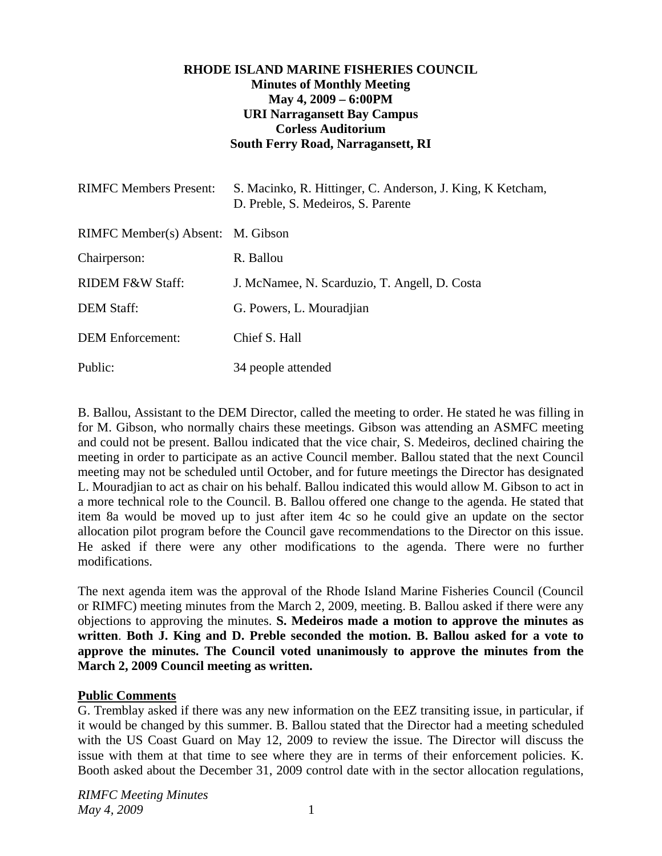## **RHODE ISLAND MARINE FISHERIES COUNCIL Minutes of Monthly Meeting May 4, 2009 – 6:00PM URI Narragansett Bay Campus Corless Auditorium South Ferry Road, Narragansett, RI**

| <b>RIMFC Members Present:</b>     | S. Macinko, R. Hittinger, C. Anderson, J. King, K. Ketcham,<br>D. Preble, S. Medeiros, S. Parente |
|-----------------------------------|---------------------------------------------------------------------------------------------------|
| RIMFC Member(s) Absent: M. Gibson |                                                                                                   |
| Chairperson:                      | R. Ballou                                                                                         |
| <b>RIDEM F&amp;W Staff:</b>       | J. McNamee, N. Scarduzio, T. Angell, D. Costa                                                     |
| <b>DEM Staff:</b>                 | G. Powers, L. Mouradjian                                                                          |
| <b>DEM</b> Enforcement:           | Chief S. Hall                                                                                     |
| Public:                           | 34 people attended                                                                                |

B. Ballou, Assistant to the DEM Director, called the meeting to order. He stated he was filling in for M. Gibson, who normally chairs these meetings. Gibson was attending an ASMFC meeting and could not be present. Ballou indicated that the vice chair, S. Medeiros, declined chairing the meeting in order to participate as an active Council member. Ballou stated that the next Council meeting may not be scheduled until October, and for future meetings the Director has designated L. Mouradjian to act as chair on his behalf. Ballou indicated this would allow M. Gibson to act in a more technical role to the Council. B. Ballou offered one change to the agenda. He stated that item 8a would be moved up to just after item 4c so he could give an update on the sector allocation pilot program before the Council gave recommendations to the Director on this issue. He asked if there were any other modifications to the agenda. There were no further modifications.

The next agenda item was the approval of the Rhode Island Marine Fisheries Council (Council or RIMFC) meeting minutes from the March 2, 2009, meeting. B. Ballou asked if there were any objections to approving the minutes. **S. Medeiros made a motion to approve the minutes as written**. **Both J. King and D. Preble seconded the motion. B. Ballou asked for a vote to approve the minutes. The Council voted unanimously to approve the minutes from the March 2, 2009 Council meeting as written.** 

### **Public Comments**

G. Tremblay asked if there was any new information on the EEZ transiting issue, in particular, if it would be changed by this summer. B. Ballou stated that the Director had a meeting scheduled with the US Coast Guard on May 12, 2009 to review the issue. The Director will discuss the issue with them at that time to see where they are in terms of their enforcement policies. K. Booth asked about the December 31, 2009 control date with in the sector allocation regulations,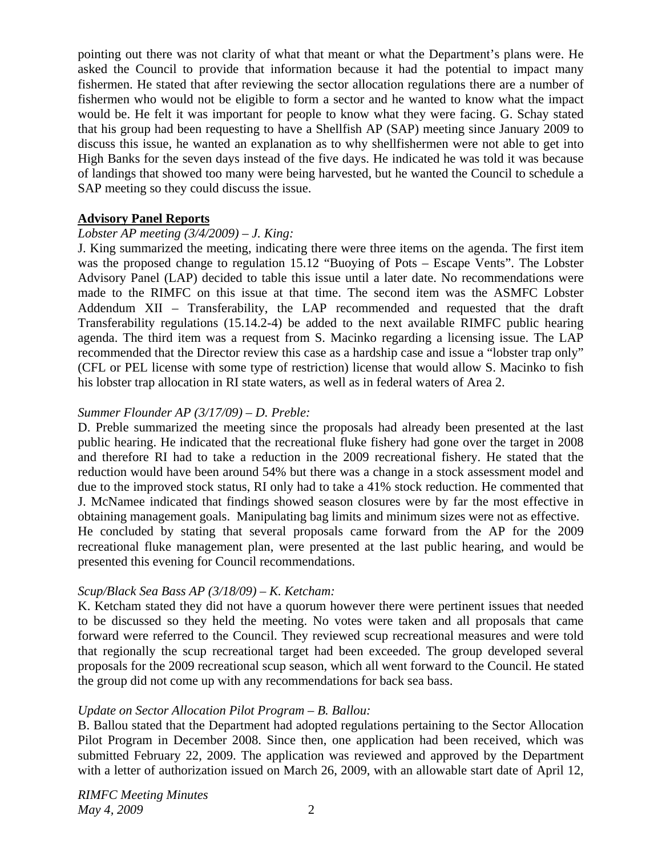pointing out there was not clarity of what that meant or what the Department's plans were. He asked the Council to provide that information because it had the potential to impact many fishermen. He stated that after reviewing the sector allocation regulations there are a number of fishermen who would not be eligible to form a sector and he wanted to know what the impact would be. He felt it was important for people to know what they were facing. G. Schay stated that his group had been requesting to have a Shellfish AP (SAP) meeting since January 2009 to discuss this issue, he wanted an explanation as to why shellfishermen were not able to get into High Banks for the seven days instead of the five days. He indicated he was told it was because of landings that showed too many were being harvested, but he wanted the Council to schedule a SAP meeting so they could discuss the issue.

### **Advisory Panel Reports**

### *Lobster AP meeting (3/4/2009) – J. King:*

J. King summarized the meeting, indicating there were three items on the agenda. The first item was the proposed change to regulation 15.12 "Buoying of Pots – Escape Vents". The Lobster Advisory Panel (LAP) decided to table this issue until a later date. No recommendations were made to the RIMFC on this issue at that time. The second item was the ASMFC Lobster Addendum XII – Transferability, the LAP recommended and requested that the draft Transferability regulations (15.14.2-4) be added to the next available RIMFC public hearing agenda. The third item was a request from S. Macinko regarding a licensing issue. The LAP recommended that the Director review this case as a hardship case and issue a "lobster trap only" (CFL or PEL license with some type of restriction) license that would allow S. Macinko to fish his lobster trap allocation in RI state waters, as well as in federal waters of Area 2.

### *Summer Flounder AP (3/17/09) – D. Preble:*

D. Preble summarized the meeting since the proposals had already been presented at the last public hearing. He indicated that the recreational fluke fishery had gone over the target in 2008 and therefore RI had to take a reduction in the 2009 recreational fishery. He stated that the reduction would have been around 54% but there was a change in a stock assessment model and due to the improved stock status, RI only had to take a 41% stock reduction. He commented that J. McNamee indicated that findings showed season closures were by far the most effective in obtaining management goals. Manipulating bag limits and minimum sizes were not as effective. He concluded by stating that several proposals came forward from the AP for the 2009 recreational fluke management plan, were presented at the last public hearing, and would be presented this evening for Council recommendations.

# *Scup/Black Sea Bass AP (3/18/09) – K. Ketcham:*

K. Ketcham stated they did not have a quorum however there were pertinent issues that needed to be discussed so they held the meeting. No votes were taken and all proposals that came forward were referred to the Council. They reviewed scup recreational measures and were told that regionally the scup recreational target had been exceeded. The group developed several proposals for the 2009 recreational scup season, which all went forward to the Council. He stated the group did not come up with any recommendations for back sea bass.

# *Update on Sector Allocation Pilot Program – B. Ballou:*

B. Ballou stated that the Department had adopted regulations pertaining to the Sector Allocation Pilot Program in December 2008. Since then, one application had been received, which was submitted February 22, 2009. The application was reviewed and approved by the Department with a letter of authorization issued on March 26, 2009, with an allowable start date of April 12,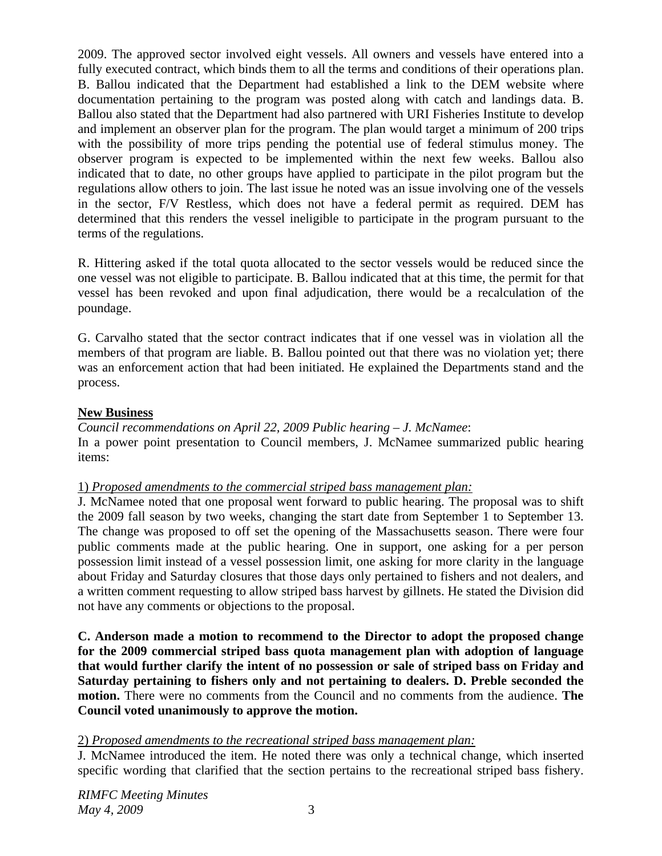2009. The approved sector involved eight vessels. All owners and vessels have entered into a fully executed contract, which binds them to all the terms and conditions of their operations plan. B. Ballou indicated that the Department had established a link to the DEM website where documentation pertaining to the program was posted along with catch and landings data. B. Ballou also stated that the Department had also partnered with URI Fisheries Institute to develop and implement an observer plan for the program. The plan would target a minimum of 200 trips with the possibility of more trips pending the potential use of federal stimulus money. The observer program is expected to be implemented within the next few weeks. Ballou also indicated that to date, no other groups have applied to participate in the pilot program but the regulations allow others to join. The last issue he noted was an issue involving one of the vessels in the sector, F/V Restless, which does not have a federal permit as required. DEM has determined that this renders the vessel ineligible to participate in the program pursuant to the terms of the regulations.

R. Hittering asked if the total quota allocated to the sector vessels would be reduced since the one vessel was not eligible to participate. B. Ballou indicated that at this time, the permit for that vessel has been revoked and upon final adjudication, there would be a recalculation of the poundage.

G. Carvalho stated that the sector contract indicates that if one vessel was in violation all the members of that program are liable. B. Ballou pointed out that there was no violation yet; there was an enforcement action that had been initiated. He explained the Departments stand and the process.

# **New Business**

*Council recommendations on April 22, 2009 Public hearing – J. McNamee*: In a power point presentation to Council members, J. McNamee summarized public hearing items:

# 1) *Proposed amendments to the commercial striped bass management plan:*

J. McNamee noted that one proposal went forward to public hearing. The proposal was to shift the 2009 fall season by two weeks, changing the start date from September 1 to September 13. The change was proposed to off set the opening of the Massachusetts season. There were four public comments made at the public hearing. One in support, one asking for a per person possession limit instead of a vessel possession limit, one asking for more clarity in the language about Friday and Saturday closures that those days only pertained to fishers and not dealers, and a written comment requesting to allow striped bass harvest by gillnets. He stated the Division did not have any comments or objections to the proposal.

**C. Anderson made a motion to recommend to the Director to adopt the proposed change for the 2009 commercial striped bass quota management plan with adoption of language that would further clarify the intent of no possession or sale of striped bass on Friday and Saturday pertaining to fishers only and not pertaining to dealers. D. Preble seconded the motion.** There were no comments from the Council and no comments from the audience. **The Council voted unanimously to approve the motion.** 

### 2) *Proposed amendments to the recreational striped bass management plan:*

J. McNamee introduced the item. He noted there was only a technical change, which inserted specific wording that clarified that the section pertains to the recreational striped bass fishery.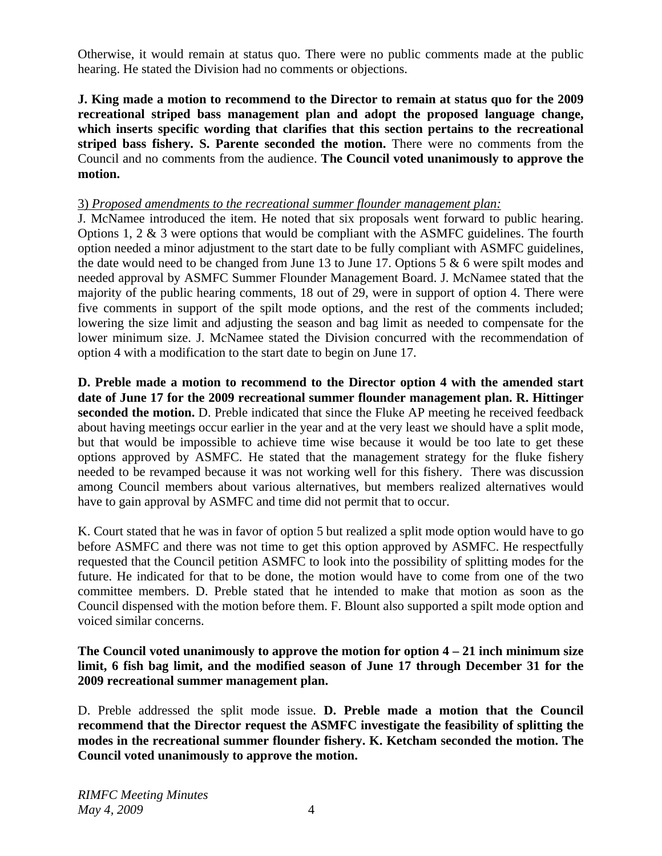Otherwise, it would remain at status quo. There were no public comments made at the public hearing. He stated the Division had no comments or objections.

**J. King made a motion to recommend to the Director to remain at status quo for the 2009 recreational striped bass management plan and adopt the proposed language change, which inserts specific wording that clarifies that this section pertains to the recreational striped bass fishery. S. Parente seconded the motion.** There were no comments from the Council and no comments from the audience. **The Council voted unanimously to approve the motion.** 

### 3) *Proposed amendments to the recreational summer flounder management plan:*

J. McNamee introduced the item. He noted that six proposals went forward to public hearing. Options 1, 2 & 3 were options that would be compliant with the ASMFC guidelines. The fourth option needed a minor adjustment to the start date to be fully compliant with ASMFC guidelines, the date would need to be changed from June 13 to June 17. Options 5 & 6 were spilt modes and needed approval by ASMFC Summer Flounder Management Board. J. McNamee stated that the majority of the public hearing comments, 18 out of 29, were in support of option 4. There were five comments in support of the spilt mode options, and the rest of the comments included; lowering the size limit and adjusting the season and bag limit as needed to compensate for the lower minimum size. J. McNamee stated the Division concurred with the recommendation of option 4 with a modification to the start date to begin on June 17.

**D. Preble made a motion to recommend to the Director option 4 with the amended start date of June 17 for the 2009 recreational summer flounder management plan. R. Hittinger seconded the motion.** D. Preble indicated that since the Fluke AP meeting he received feedback about having meetings occur earlier in the year and at the very least we should have a split mode, but that would be impossible to achieve time wise because it would be too late to get these options approved by ASMFC. He stated that the management strategy for the fluke fishery needed to be revamped because it was not working well for this fishery. There was discussion among Council members about various alternatives, but members realized alternatives would have to gain approval by ASMFC and time did not permit that to occur.

K. Court stated that he was in favor of option 5 but realized a split mode option would have to go before ASMFC and there was not time to get this option approved by ASMFC. He respectfully requested that the Council petition ASMFC to look into the possibility of splitting modes for the future. He indicated for that to be done, the motion would have to come from one of the two committee members. D. Preble stated that he intended to make that motion as soon as the Council dispensed with the motion before them. F. Blount also supported a spilt mode option and voiced similar concerns.

**The Council voted unanimously to approve the motion for option 4 – 21 inch minimum size limit, 6 fish bag limit, and the modified season of June 17 through December 31 for the 2009 recreational summer management plan.** 

D. Preble addressed the split mode issue. **D. Preble made a motion that the Council recommend that the Director request the ASMFC investigate the feasibility of splitting the modes in the recreational summer flounder fishery. K. Ketcham seconded the motion. The Council voted unanimously to approve the motion.**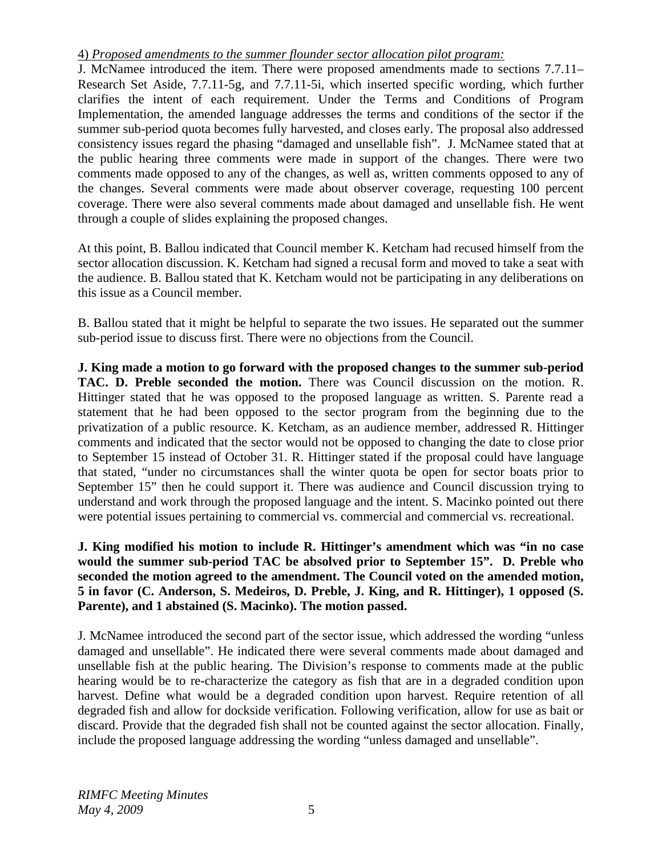# 4) *Proposed amendments to the summer flounder sector allocation pilot program:*

J. McNamee introduced the item. There were proposed amendments made to sections 7.7.11– Research Set Aside, 7.7.11-5g, and 7.7.11-5i, which inserted specific wording, which further clarifies the intent of each requirement. Under the Terms and Conditions of Program Implementation, the amended language addresses the terms and conditions of the sector if the summer sub-period quota becomes fully harvested, and closes early. The proposal also addressed consistency issues regard the phasing "damaged and unsellable fish". J. McNamee stated that at the public hearing three comments were made in support of the changes. There were two comments made opposed to any of the changes, as well as, written comments opposed to any of the changes. Several comments were made about observer coverage, requesting 100 percent coverage. There were also several comments made about damaged and unsellable fish. He went through a couple of slides explaining the proposed changes.

At this point, B. Ballou indicated that Council member K. Ketcham had recused himself from the sector allocation discussion. K. Ketcham had signed a recusal form and moved to take a seat with the audience. B. Ballou stated that K. Ketcham would not be participating in any deliberations on this issue as a Council member.

B. Ballou stated that it might be helpful to separate the two issues. He separated out the summer sub-period issue to discuss first. There were no objections from the Council.

**J. King made a motion to go forward with the proposed changes to the summer sub-period TAC. D. Preble seconded the motion.** There was Council discussion on the motion. R. Hittinger stated that he was opposed to the proposed language as written. S. Parente read a statement that he had been opposed to the sector program from the beginning due to the privatization of a public resource. K. Ketcham, as an audience member, addressed R. Hittinger comments and indicated that the sector would not be opposed to changing the date to close prior to September 15 instead of October 31. R. Hittinger stated if the proposal could have language that stated, "under no circumstances shall the winter quota be open for sector boats prior to September 15" then he could support it. There was audience and Council discussion trying to understand and work through the proposed language and the intent. S. Macinko pointed out there were potential issues pertaining to commercial vs. commercial and commercial vs. recreational.

**J. King modified his motion to include R. Hittinger's amendment which was "in no case would the summer sub-period TAC be absolved prior to September 15". D. Preble who seconded the motion agreed to the amendment. The Council voted on the amended motion, 5 in favor (C. Anderson, S. Medeiros, D. Preble, J. King, and R. Hittinger), 1 opposed (S. Parente), and 1 abstained (S. Macinko). The motion passed.** 

J. McNamee introduced the second part of the sector issue, which addressed the wording "unless damaged and unsellable". He indicated there were several comments made about damaged and unsellable fish at the public hearing. The Division's response to comments made at the public hearing would be to re-characterize the category as fish that are in a degraded condition upon harvest. Define what would be a degraded condition upon harvest. Require retention of all degraded fish and allow for dockside verification. Following verification, allow for use as bait or discard. Provide that the degraded fish shall not be counted against the sector allocation. Finally, include the proposed language addressing the wording "unless damaged and unsellable".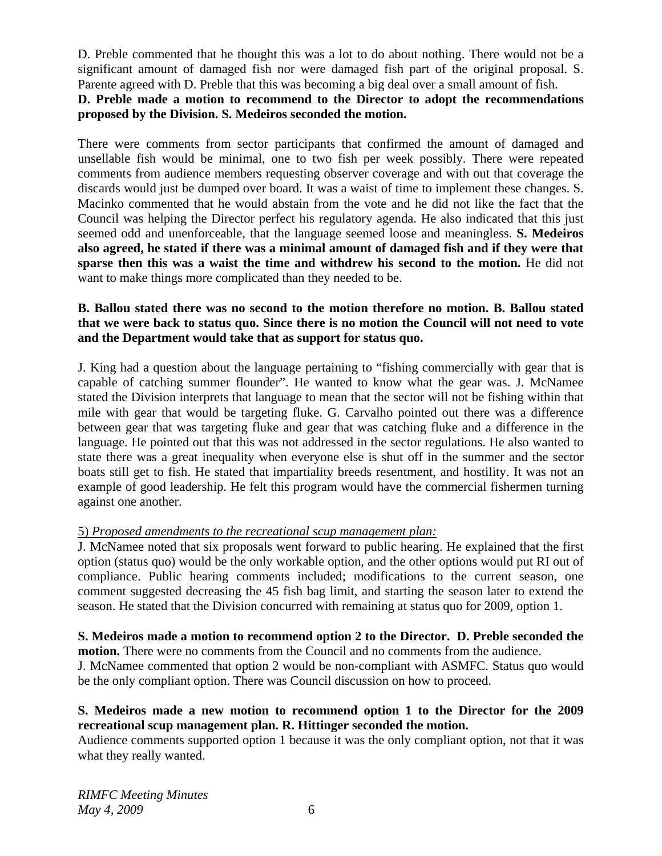D. Preble commented that he thought this was a lot to do about nothing. There would not be a significant amount of damaged fish nor were damaged fish part of the original proposal. S. Parente agreed with D. Preble that this was becoming a big deal over a small amount of fish.

## **D. Preble made a motion to recommend to the Director to adopt the recommendations proposed by the Division. S. Medeiros seconded the motion.**

There were comments from sector participants that confirmed the amount of damaged and unsellable fish would be minimal, one to two fish per week possibly. There were repeated comments from audience members requesting observer coverage and with out that coverage the discards would just be dumped over board. It was a waist of time to implement these changes. S. Macinko commented that he would abstain from the vote and he did not like the fact that the Council was helping the Director perfect his regulatory agenda. He also indicated that this just seemed odd and unenforceable, that the language seemed loose and meaningless. **S. Medeiros also agreed, he stated if there was a minimal amount of damaged fish and if they were that sparse then this was a waist the time and withdrew his second to the motion.** He did not want to make things more complicated than they needed to be.

# **B. Ballou stated there was no second to the motion therefore no motion. B. Ballou stated that we were back to status quo. Since there is no motion the Council will not need to vote and the Department would take that as support for status quo.**

J. King had a question about the language pertaining to "fishing commercially with gear that is capable of catching summer flounder". He wanted to know what the gear was. J. McNamee stated the Division interprets that language to mean that the sector will not be fishing within that mile with gear that would be targeting fluke. G. Carvalho pointed out there was a difference between gear that was targeting fluke and gear that was catching fluke and a difference in the language. He pointed out that this was not addressed in the sector regulations. He also wanted to state there was a great inequality when everyone else is shut off in the summer and the sector boats still get to fish. He stated that impartiality breeds resentment, and hostility. It was not an example of good leadership. He felt this program would have the commercial fishermen turning against one another.

# 5) *Proposed amendments to the recreational scup management plan:*

J. McNamee noted that six proposals went forward to public hearing. He explained that the first option (status quo) would be the only workable option, and the other options would put RI out of compliance. Public hearing comments included; modifications to the current season, one comment suggested decreasing the 45 fish bag limit, and starting the season later to extend the season. He stated that the Division concurred with remaining at status quo for 2009, option 1.

#### **S. Medeiros made a motion to recommend option 2 to the Director. D. Preble seconded the motion.** There were no comments from the Council and no comments from the audience.

J. McNamee commented that option 2 would be non-compliant with ASMFC. Status quo would be the only compliant option. There was Council discussion on how to proceed.

# **S. Medeiros made a new motion to recommend option 1 to the Director for the 2009 recreational scup management plan. R. Hittinger seconded the motion.**

Audience comments supported option 1 because it was the only compliant option, not that it was what they really wanted.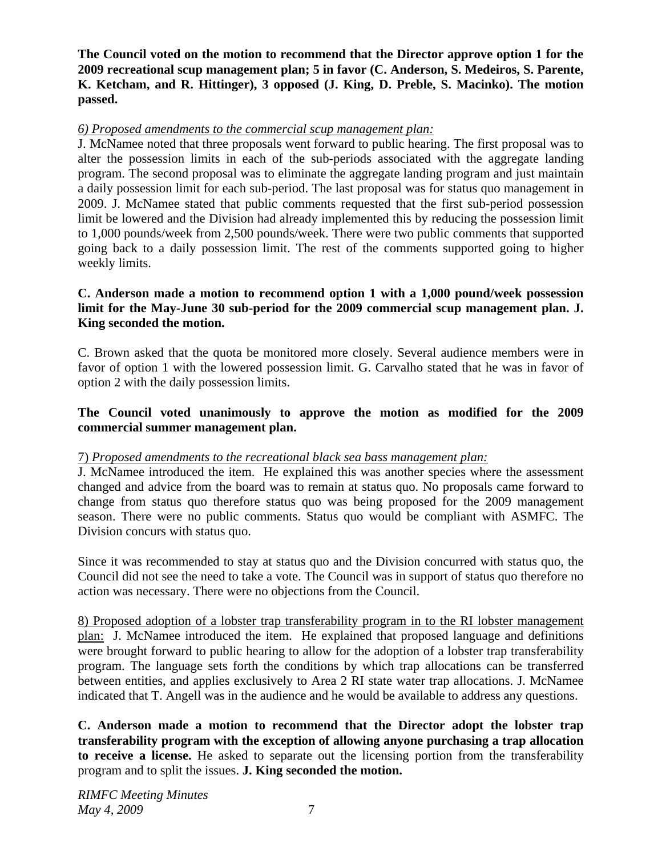**The Council voted on the motion to recommend that the Director approve option 1 for the 2009 recreational scup management plan; 5 in favor (C. Anderson, S. Medeiros, S. Parente, K. Ketcham, and R. Hittinger), 3 opposed (J. King, D. Preble, S. Macinko). The motion passed.** 

# *6) Proposed amendments to the commercial scup management plan:*

J. McNamee noted that three proposals went forward to public hearing. The first proposal was to alter the possession limits in each of the sub-periods associated with the aggregate landing program. The second proposal was to eliminate the aggregate landing program and just maintain a daily possession limit for each sub-period. The last proposal was for status quo management in 2009. J. McNamee stated that public comments requested that the first sub-period possession limit be lowered and the Division had already implemented this by reducing the possession limit to 1,000 pounds/week from 2,500 pounds/week. There were two public comments that supported going back to a daily possession limit. The rest of the comments supported going to higher weekly limits.

# **C. Anderson made a motion to recommend option 1 with a 1,000 pound/week possession limit for the May-June 30 sub-period for the 2009 commercial scup management plan. J. King seconded the motion.**

C. Brown asked that the quota be monitored more closely. Several audience members were in favor of option 1 with the lowered possession limit. G. Carvalho stated that he was in favor of option 2 with the daily possession limits.

# **The Council voted unanimously to approve the motion as modified for the 2009 commercial summer management plan.**

# 7) *Proposed amendments to the recreational black sea bass management plan:*

J. McNamee introduced the item. He explained this was another species where the assessment changed and advice from the board was to remain at status quo. No proposals came forward to change from status quo therefore status quo was being proposed for the 2009 management season. There were no public comments. Status quo would be compliant with ASMFC. The Division concurs with status quo.

Since it was recommended to stay at status quo and the Division concurred with status quo, the Council did not see the need to take a vote. The Council was in support of status quo therefore no action was necessary. There were no objections from the Council.

8) Proposed adoption of a lobster trap transferability program in to the RI lobster management plan: J. McNamee introduced the item. He explained that proposed language and definitions were brought forward to public hearing to allow for the adoption of a lobster trap transferability program. The language sets forth the conditions by which trap allocations can be transferred between entities, and applies exclusively to Area 2 RI state water trap allocations. J. McNamee indicated that T. Angell was in the audience and he would be available to address any questions.

**C. Anderson made a motion to recommend that the Director adopt the lobster trap transferability program with the exception of allowing anyone purchasing a trap allocation to receive a license.** He asked to separate out the licensing portion from the transferability program and to split the issues. **J. King seconded the motion.**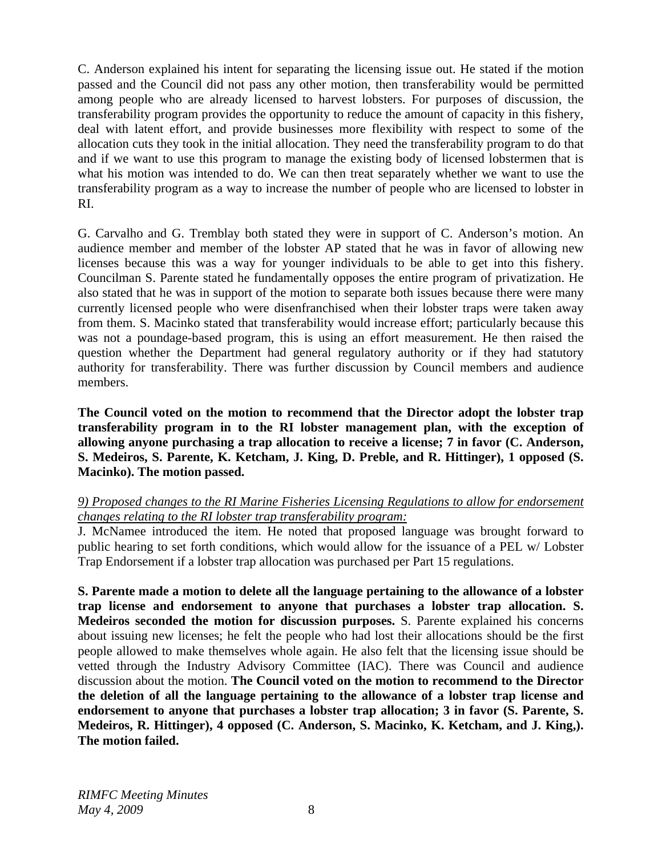C. Anderson explained his intent for separating the licensing issue out. He stated if the motion passed and the Council did not pass any other motion, then transferability would be permitted among people who are already licensed to harvest lobsters. For purposes of discussion, the transferability program provides the opportunity to reduce the amount of capacity in this fishery, deal with latent effort, and provide businesses more flexibility with respect to some of the allocation cuts they took in the initial allocation. They need the transferability program to do that and if we want to use this program to manage the existing body of licensed lobstermen that is what his motion was intended to do. We can then treat separately whether we want to use the transferability program as a way to increase the number of people who are licensed to lobster in RI.

G. Carvalho and G. Tremblay both stated they were in support of C. Anderson's motion. An audience member and member of the lobster AP stated that he was in favor of allowing new licenses because this was a way for younger individuals to be able to get into this fishery. Councilman S. Parente stated he fundamentally opposes the entire program of privatization. He also stated that he was in support of the motion to separate both issues because there were many currently licensed people who were disenfranchised when their lobster traps were taken away from them. S. Macinko stated that transferability would increase effort; particularly because this was not a poundage-based program, this is using an effort measurement. He then raised the question whether the Department had general regulatory authority or if they had statutory authority for transferability. There was further discussion by Council members and audience members.

**The Council voted on the motion to recommend that the Director adopt the lobster trap transferability program in to the RI lobster management plan, with the exception of allowing anyone purchasing a trap allocation to receive a license; 7 in favor (C. Anderson, S. Medeiros, S. Parente, K. Ketcham, J. King, D. Preble, and R. Hittinger), 1 opposed (S. Macinko). The motion passed.** 

# *9) Proposed changes to the RI Marine Fisheries Licensing Regulations to allow for endorsement changes relating to the RI lobster trap transferability program:*

J. McNamee introduced the item. He noted that proposed language was brought forward to public hearing to set forth conditions, which would allow for the issuance of a PEL w/ Lobster Trap Endorsement if a lobster trap allocation was purchased per Part 15 regulations.

**S. Parente made a motion to delete all the language pertaining to the allowance of a lobster trap license and endorsement to anyone that purchases a lobster trap allocation. S. Medeiros seconded the motion for discussion purposes.** S. Parente explained his concerns about issuing new licenses; he felt the people who had lost their allocations should be the first people allowed to make themselves whole again. He also felt that the licensing issue should be vetted through the Industry Advisory Committee (IAC). There was Council and audience discussion about the motion. **The Council voted on the motion to recommend to the Director the deletion of all the language pertaining to the allowance of a lobster trap license and endorsement to anyone that purchases a lobster trap allocation; 3 in favor (S. Parente, S. Medeiros, R. Hittinger), 4 opposed (C. Anderson, S. Macinko, K. Ketcham, and J. King,). The motion failed.**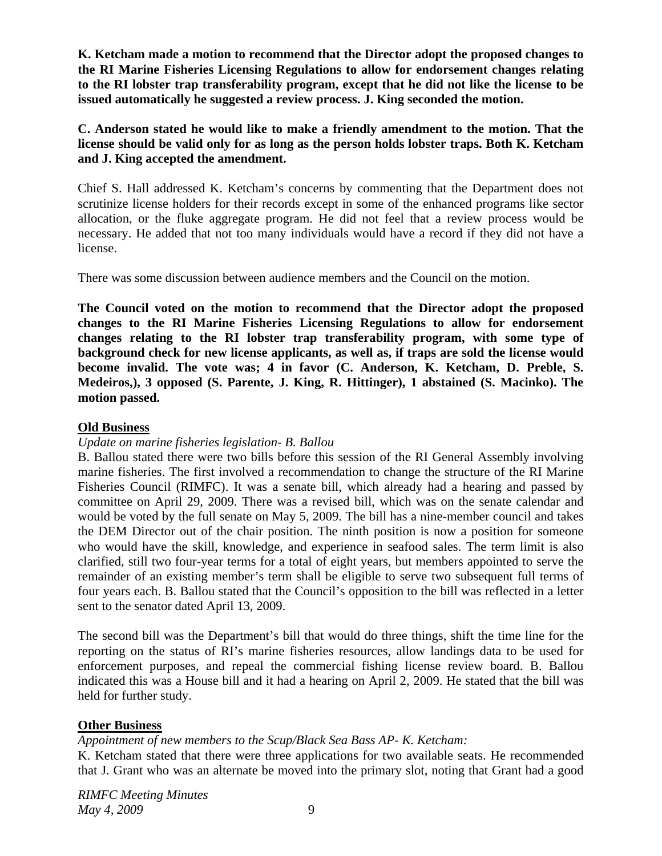**K. Ketcham made a motion to recommend that the Director adopt the proposed changes to the RI Marine Fisheries Licensing Regulations to allow for endorsement changes relating to the RI lobster trap transferability program, except that he did not like the license to be issued automatically he suggested a review process. J. King seconded the motion.** 

**C. Anderson stated he would like to make a friendly amendment to the motion. That the license should be valid only for as long as the person holds lobster traps. Both K. Ketcham and J. King accepted the amendment.**

Chief S. Hall addressed K. Ketcham's concerns by commenting that the Department does not scrutinize license holders for their records except in some of the enhanced programs like sector allocation, or the fluke aggregate program. He did not feel that a review process would be necessary. He added that not too many individuals would have a record if they did not have a license.

There was some discussion between audience members and the Council on the motion.

**The Council voted on the motion to recommend that the Director adopt the proposed changes to the RI Marine Fisheries Licensing Regulations to allow for endorsement changes relating to the RI lobster trap transferability program, with some type of background check for new license applicants, as well as, if traps are sold the license would become invalid. The vote was; 4 in favor (C. Anderson, K. Ketcham, D. Preble, S. Medeiros,), 3 opposed (S. Parente, J. King, R. Hittinger), 1 abstained (S. Macinko). The motion passed.** 

### **Old Business**

### *Update on marine fisheries legislation- B. Ballou*

B. Ballou stated there were two bills before this session of the RI General Assembly involving marine fisheries. The first involved a recommendation to change the structure of the RI Marine Fisheries Council (RIMFC). It was a senate bill, which already had a hearing and passed by committee on April 29, 2009. There was a revised bill, which was on the senate calendar and would be voted by the full senate on May 5, 2009. The bill has a nine-member council and takes the DEM Director out of the chair position. The ninth position is now a position for someone who would have the skill, knowledge, and experience in seafood sales. The term limit is also clarified, still two four-year terms for a total of eight years, but members appointed to serve the remainder of an existing member's term shall be eligible to serve two subsequent full terms of four years each. B. Ballou stated that the Council's opposition to the bill was reflected in a letter sent to the senator dated April 13, 2009.

The second bill was the Department's bill that would do three things, shift the time line for the reporting on the status of RI's marine fisheries resources, allow landings data to be used for enforcement purposes, and repeal the commercial fishing license review board. B. Ballou indicated this was a House bill and it had a hearing on April 2, 2009. He stated that the bill was held for further study.

# **Other Business**

# *Appointment of new members to the Scup/Black Sea Bass AP- K. Ketcham:*

K. Ketcham stated that there were three applications for two available seats. He recommended that J. Grant who was an alternate be moved into the primary slot, noting that Grant had a good